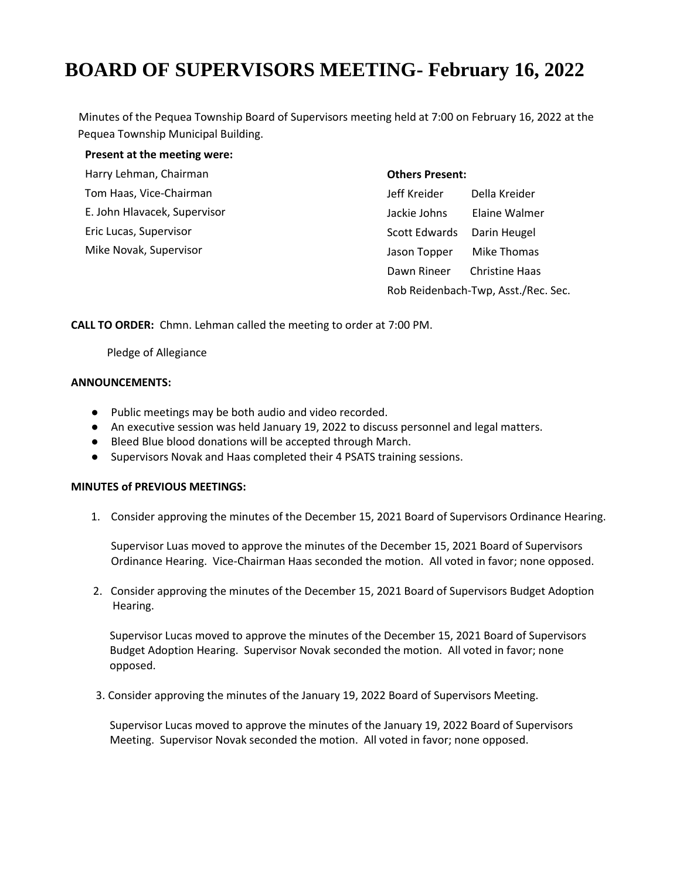# **BOARD OF SUPERVISORS MEETING- February 16, 2022**

Minutes of the Pequea Township Board of Supervisors meeting held at 7:00 on February 16, 2022 at the Pequea Township Municipal Building.

| Present at the meeting were: |                                     |                       |
|------------------------------|-------------------------------------|-----------------------|
| Harry Lehman, Chairman       | <b>Others Present:</b>              |                       |
| Tom Haas, Vice-Chairman      | Jeff Kreider                        | Della Kreider         |
| E. John Hlavacek, Supervisor | Jackie Johns                        | Elaine Walmer         |
| Eric Lucas, Supervisor       | Scott Edwards                       | Darin Heugel          |
| Mike Novak, Supervisor       | Jason Topper                        | Mike Thomas           |
|                              | Dawn Rineer                         | <b>Christine Haas</b> |
|                              | Rob Reidenbach-Twp, Asst./Rec. Sec. |                       |

**CALL TO ORDER:** Chmn. Lehman called the meeting to order at 7:00 PM.

Pledge of Allegiance

#### **ANNOUNCEMENTS:**

- Public meetings may be both audio and video recorded.
- An executive session was held January 19, 2022 to discuss personnel and legal matters.
- Bleed Blue blood donations will be accepted through March.
- Supervisors Novak and Haas completed their 4 PSATS training sessions.

#### **MINUTES of PREVIOUS MEETINGS:**

1. Consider approving the minutes of the December 15, 2021 Board of Supervisors Ordinance Hearing.

Supervisor Luas moved to approve the minutes of the December 15, 2021 Board of Supervisors Ordinance Hearing. Vice-Chairman Haas seconded the motion. All voted in favor; none opposed.

 2. Consider approving the minutes of the December 15, 2021 Board of Supervisors Budget Adoption Hearing.

 Supervisor Lucas moved to approve the minutes of the December 15, 2021 Board of Supervisors Budget Adoption Hearing. Supervisor Novak seconded the motion. All voted in favor; none opposed.

3. Consider approving the minutes of the January 19, 2022 Board of Supervisors Meeting.

 Supervisor Lucas moved to approve the minutes of the January 19, 2022 Board of Supervisors Meeting. Supervisor Novak seconded the motion. All voted in favor; none opposed.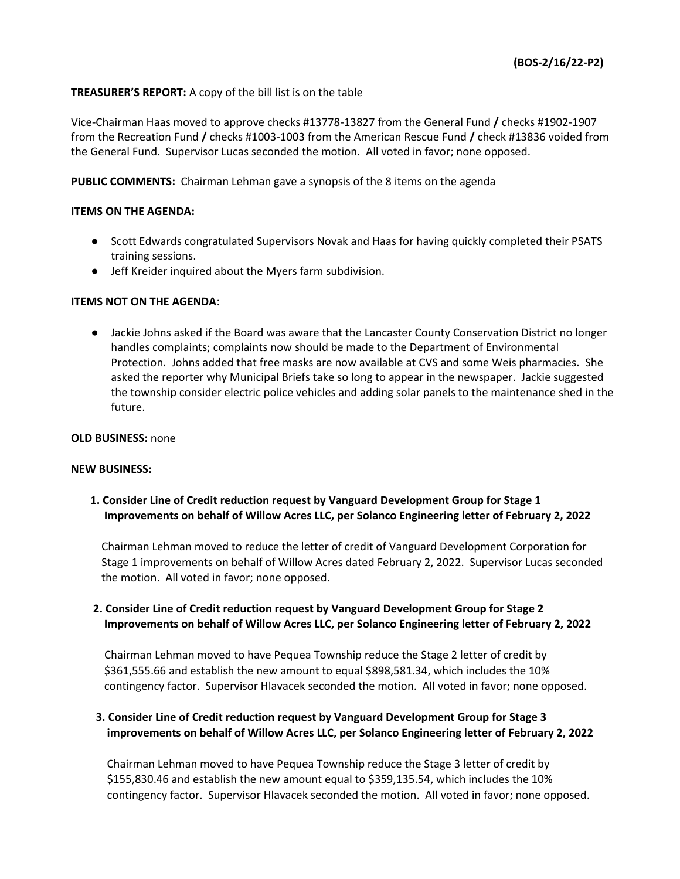## **TREASURER'S REPORT:** A copy of the bill list is on the table

Vice-Chairman Haas moved to approve checks #13778-13827 from the General Fund **/** checks #1902-1907 from the Recreation Fund **/** checks #1003-1003 from the American Rescue Fund **/** check #13836 voided from the General Fund. Supervisor Lucas seconded the motion. All voted in favor; none opposed.

**PUBLIC COMMENTS:** Chairman Lehman gave a synopsis of the 8 items on the agenda

#### **ITEMS ON THE AGENDA:**

- Scott Edwards congratulated Supervisors Novak and Haas for having quickly completed their PSATS training sessions.
- Jeff Kreider inquired about the Myers farm subdivision.

#### **ITEMS NOT ON THE AGENDA**:

● Jackie Johns asked if the Board was aware that the Lancaster County Conservation District no longer handles complaints; complaints now should be made to the Department of Environmental Protection. Johns added that free masks are now available at CVS and some Weis pharmacies. She asked the reporter why Municipal Briefs take so long to appear in the newspaper. Jackie suggested the township consider electric police vehicles and adding solar panels to the maintenance shed in the future.

#### **OLD BUSINESS:** none

#### **NEW BUSINESS:**

 **1. Consider Line of Credit reduction request by Vanguard Development Group for Stage 1 Improvements on behalf of Willow Acres LLC, per Solanco Engineering letter of February 2, 2022**

 Chairman Lehman moved to reduce the letter of credit of Vanguard Development Corporation for Stage 1 improvements on behalf of Willow Acres dated February 2, 2022. Supervisor Lucas seconded the motion. All voted in favor; none opposed.

## **2. Consider Line of Credit reduction request by Vanguard Development Group for Stage 2 Improvements on behalf of Willow Acres LLC, per Solanco Engineering letter of February 2, 2022**

 Chairman Lehman moved to have Pequea Township reduce the Stage 2 letter of credit by \$361,555.66 and establish the new amount to equal \$898,581.34, which includes the 10% contingency factor. Supervisor Hlavacek seconded the motion. All voted in favor; none opposed.

## **3. Consider Line of Credit reduction request by Vanguard Development Group for Stage 3 improvements on behalf of Willow Acres LLC, per Solanco Engineering letter of February 2, 2022**

Chairman Lehman moved to have Pequea Township reduce the Stage 3 letter of credit by \$155,830.46 and establish the new amount equal to \$359,135.54, which includes the 10% contingency factor. Supervisor Hlavacek seconded the motion. All voted in favor; none opposed.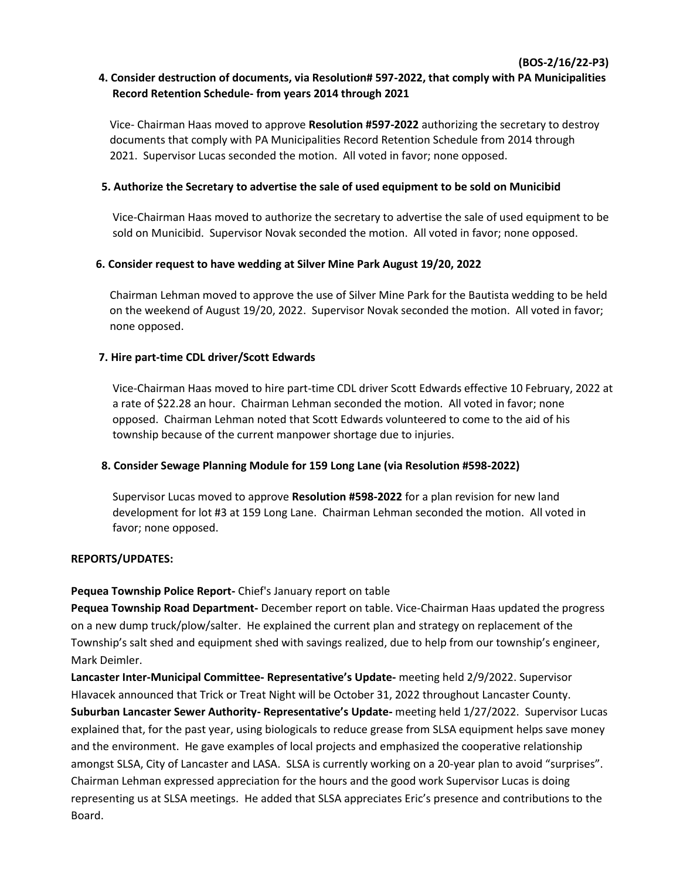## **4. Consider destruction of documents, via Resolution# 597-2022, that comply with PA Municipalities Record Retention Schedule- from years 2014 through 2021**

**(BOS-2/16/22-P3)** 

 Vice- Chairman Haas moved to approve **Resolution #597-2022** authorizing the secretary to destroy documents that comply with PA Municipalities Record Retention Schedule from 2014 through 2021. Supervisor Lucas seconded the motion. All voted in favor; none opposed.

## **5. Authorize the Secretary to advertise the sale of used equipment to be sold on Municibid**

Vice-Chairman Haas moved to authorize the secretary to advertise the sale of used equipment to be sold on Municibid. Supervisor Novak seconded the motion. All voted in favor; none opposed.

## **6. Consider request to have wedding at Silver Mine Park August 19/20, 2022**

Chairman Lehman moved to approve the use of Silver Mine Park for the Bautista wedding to be held on the weekend of August 19/20, 2022. Supervisor Novak seconded the motion. All voted in favor; none opposed.

## **7. Hire part-time CDL driver/Scott Edwards**

 Vice-Chairman Haas moved to hire part-time CDL driver Scott Edwards effective 10 February, 2022 at a rate of \$22.28 an hour. Chairman Lehman seconded the motion. All voted in favor; none opposed. Chairman Lehman noted that Scott Edwards volunteered to come to the aid of his township because of the current manpower shortage due to injuries.

## **8. Consider Sewage Planning Module for 159 Long Lane (via Resolution #598-2022)**

 Supervisor Lucas moved to approve **Resolution #598-2022** for a plan revision for new land development for lot #3 at 159 Long Lane. Chairman Lehman seconded the motion. All voted in favor; none opposed.

#### **REPORTS/UPDATES:**

## **Pequea Township Police Report-** Chief's January report on table

**Pequea Township Road Department-** December report on table. Vice-Chairman Haas updated the progress on a new dump truck/plow/salter. He explained the current plan and strategy on replacement of the Township's salt shed and equipment shed with savings realized, due to help from our township's engineer, Mark Deimler.

**Lancaster Inter-Municipal Committee- Representative's Update-** meeting held 2/9/2022. Supervisor Hlavacek announced that Trick or Treat Night will be October 31, 2022 throughout Lancaster County. **Suburban Lancaster Sewer Authority- Representative's Update-** meeting held 1/27/2022. Supervisor Lucas explained that, for the past year, using biologicals to reduce grease from SLSA equipment helps save money and the environment. He gave examples of local projects and emphasized the cooperative relationship amongst SLSA, City of Lancaster and LASA. SLSA is currently working on a 20-year plan to avoid "surprises". Chairman Lehman expressed appreciation for the hours and the good work Supervisor Lucas is doing representing us at SLSA meetings. He added that SLSA appreciates Eric's presence and contributions to the Board.